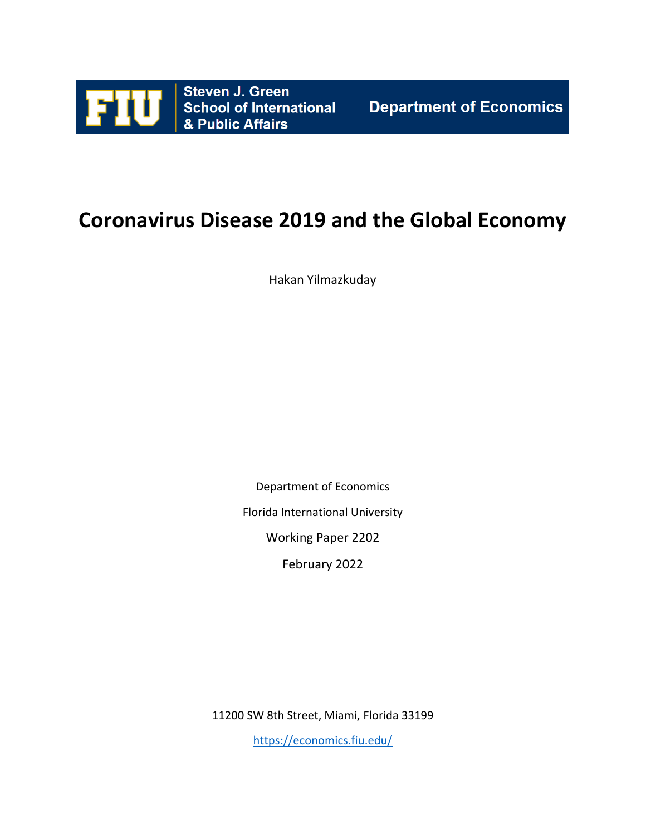

# **Coronavirus Disease 2019 and the Global Economy**

Hakan Yilmazkuday

Department of Economics

Florida International University

Working Paper 2202

February 2022

11200 SW 8th Street, Miami, Florida 33199

<https://economics.fiu.edu/>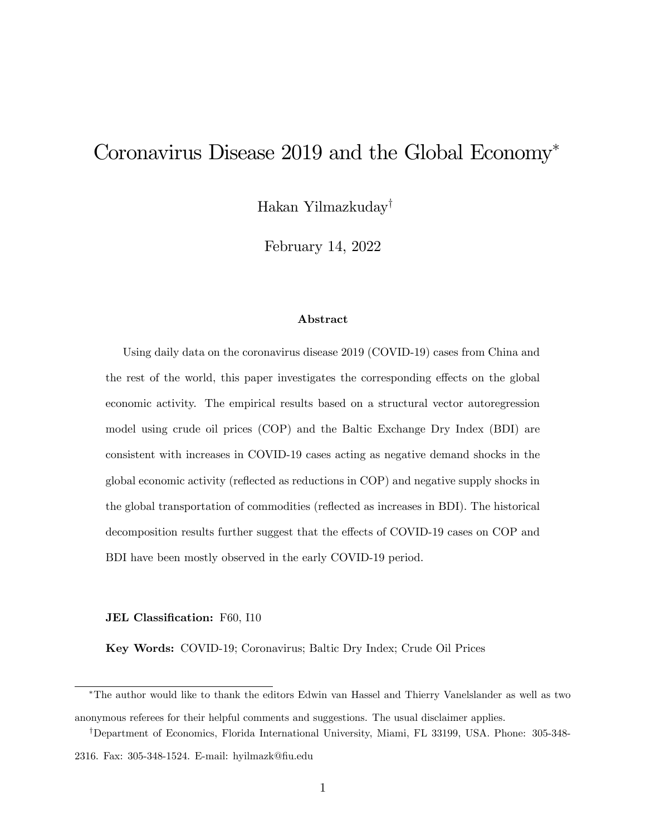## Coronavirus Disease 2019 and the Global Economy

Hakan Yilmazkuday<sup>†</sup>

February 14, 2022

#### Abstract

Using daily data on the coronavirus disease 2019 (COVID-19) cases from China and the rest of the world, this paper investigates the corresponding effects on the global economic activity. The empirical results based on a structural vector autoregression model using crude oil prices (COP) and the Baltic Exchange Dry Index (BDI) are consistent with increases in COVID-19 cases acting as negative demand shocks in the global economic activity (reáected as reductions in COP) and negative supply shocks in the global transportation of commodities (reflected as increases in BDI). The historical decomposition results further suggest that the effects of COVID-19 cases on COP and BDI have been mostly observed in the early COVID-19 period.

#### JEL Classification: F60, I10

Key Words: COVID-19; Coronavirus; Baltic Dry Index; Crude Oil Prices

The author would like to thank the editors Edwin van Hassel and Thierry Vanelslander as well as two

anonymous referees for their helpful comments and suggestions. The usual disclaimer applies. <sup>†</sup>Department of Economics, Florida International University, Miami, FL 33199, USA. Phone: 305-348-

<sup>2316.</sup> Fax: 305-348-1524. E-mail: hyilmazk@fiu.edu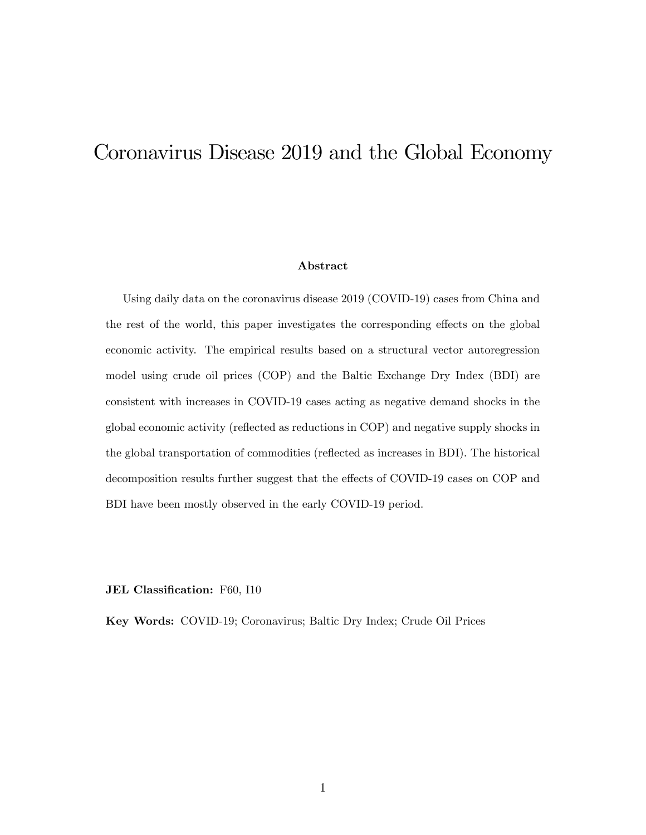## <span id="page-2-0"></span>Coronavirus Disease 2019 and the Global Economy

#### Abstract

Using daily data on the coronavirus disease 2019 (COVID-19) cases from China and the rest of the world, this paper investigates the corresponding effects on the global economic activity. The empirical results based on a structural vector autoregression model using crude oil prices (COP) and the Baltic Exchange Dry Index (BDI) are consistent with increases in COVID-19 cases acting as negative demand shocks in the global economic activity (reáected as reductions in COP) and negative supply shocks in the global transportation of commodities (reflected as increases in BDI). The historical decomposition results further suggest that the effects of COVID-19 cases on COP and BDI have been mostly observed in the early COVID-19 period.

JEL Classification: F60, I10

Key Words: COVID-19; Coronavirus; Baltic Dry Index; Crude Oil Prices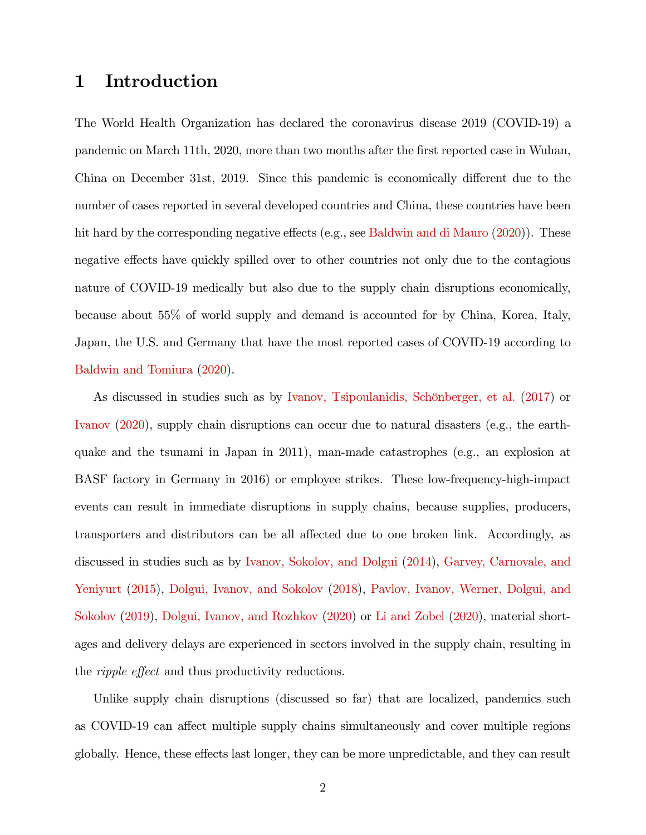#### 1 Introduction

The World Health Organization has declared the coronavirus disease 2019 (COVID-19) a pandemic on March 11th, 2020, more than two months after the first reported case in Wuhan, China on December 31st, 2019. Since this pandemic is economically different due to the number of cases reported in several developed countries and China, these countries have been hit hard by the corresponding negative effects (e.g., see [Baldwin and di Mauro](#page-13-0)  $(2020)$ ). These negative effects have quickly spilled over to other countries not only due to the contagious nature of COVID-19 medically but also due to the supply chain disruptions economically, because about 55% of world supply and demand is accounted for by China, Korea, Italy, Japan, the U.S. and Germany that have the most reported cases of COVID-19 according to [Baldwin and Tomiura](#page-13-1) [\(2020\)](#page-13-1).

As discussed in studies such as by Ivanov, Tsipoulanidis, Schönberger, et al. [\(2017\)](#page-15-0) or [Ivanov](#page-15-1) [\(2020\)](#page-15-1), supply chain disruptions can occur due to natural disasters (e.g., the earthquake and the tsunami in Japan in 2011), man-made catastrophes (e.g., an explosion at BASF factory in Germany in 2016) or employee strikes. These low-frequency-high-impact events can result in immediate disruptions in supply chains, because supplies, producers, transporters and distributors can be all affected due to one broken link. Accordingly, as discussed in studies such as by [Ivanov, Sokolov, and Dolgui](#page-15-2) [\(2014\)](#page-15-2), [Garvey, Carnovale, and](#page-14-0) [Yeniyurt](#page-14-0) [\(2015\)](#page-14-0), [Dolgui, Ivanov, and Sokolov](#page-14-1) [\(2018\)](#page-14-1), [Pavlov, Ivanov, Werner, Dolgui, and](#page-16-0) [Sokolov](#page-16-0) [\(2019\)](#page-16-0), [Dolgui, Ivanov, and Rozhkov](#page-14-2) [\(2020\)](#page-14-2) or [Li and Zobel](#page-15-3) [\(2020\)](#page-15-3), material shortages and delivery delays are experienced in sectors involved in the supply chain, resulting in the *ripple effect* and thus productivity reductions.

Unlike supply chain disruptions (discussed so far) that are localized, pandemics such as COVID-19 can affect multiple supply chains simultaneously and cover multiple regions globally. Hence, these effects last longer, they can be more unpredictable, and they can result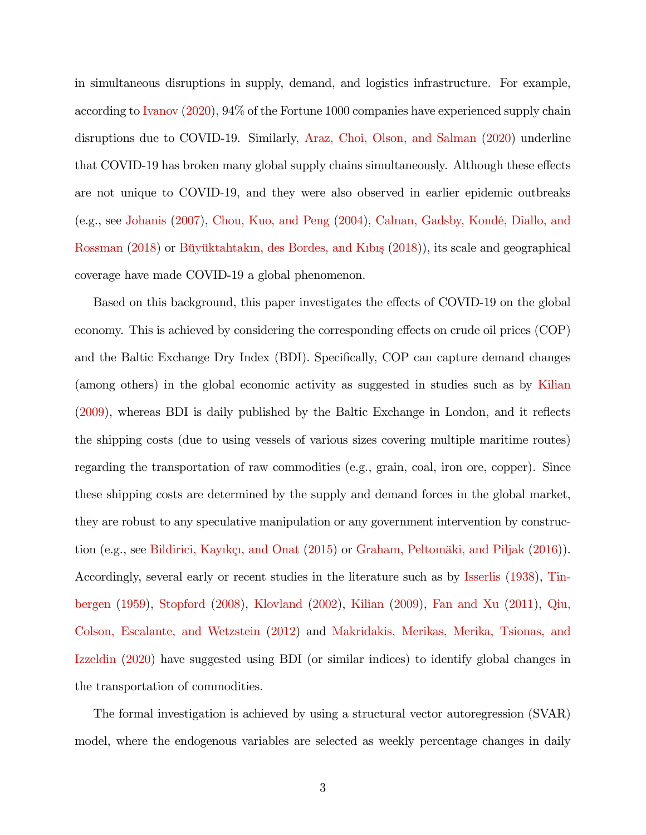in simultaneous disruptions in supply, demand, and logistics infrastructure. For example, according to [Ivanov](#page-15-1) [\(2020\)](#page-15-1), 94% of the Fortune 1000 companies have experienced supply chain disruptions due to COVID-19. Similarly, [Araz, Choi, Olson, and Salman](#page-13-2) [\(2020\)](#page-13-2) underline that COVID-19 has broken many global supply chains simultaneously. Although these effects are not unique to COVID-19, and they were also observed in earlier epidemic outbreaks (e.g., see [Johanis](#page-15-4) [\(2007\)](#page-15-4), [Chou, Kuo, and Peng](#page-14-3) [\(2004\)](#page-14-3), Calnan, Gadsby, Kondé, Diallo, and [Rossman](#page-14-4) [\(2018\)](#page-14-5) or Büyüktahtakın, des Bordes, and Kıbış (2018)), its scale and geographical coverage have made COVID-19 a global phenomenon.

Based on this background, this paper investigates the effects of COVID-19 on the global economy. This is achieved by considering the corresponding effects on crude oil prices (COP) and the Baltic Exchange Dry Index (BDI). Specifically, COP can capture demand changes (among others) in the global economic activity as suggested in studies such as by [Kilian](#page-15-5)  $(2009)$ , whereas BDI is daily published by the Baltic Exchange in London, and it reflects the shipping costs (due to using vessels of various sizes covering multiple maritime routes) regarding the transportation of raw commodities (e.g., grain, coal, iron ore, copper). Since these shipping costs are determined by the supply and demand forces in the global market, they are robust to any speculative manipulation or any government intervention by construction (e.g., see Bildirici, Kayıkçı, and Onat  $(2015)$  or Graham, Peltomäki, and Piljak  $(2016)$ ). Accordingly, several early or recent studies in the literature such as by [Isserlis](#page-15-7) [\(1938\)](#page-15-7), [Tin](#page-16-1)[bergen](#page-16-1) [\(1959\)](#page-16-1), [Stopford](#page-16-2) [\(2008\)](#page-16-2), [Klovland](#page-15-8) [\(2002\)](#page-15-8), [Kilian](#page-15-5) [\(2009\)](#page-15-5), [Fan and Xu](#page-14-7) [\(2011\)](#page-14-7), [Qiu,](#page-16-3) [Colson, Escalante, and Wetzstein](#page-16-3) [\(2012\)](#page-16-3) and [Makridakis, Merikas, Merika, Tsionas, and](#page-16-4) [Izzeldin](#page-16-4) [\(2020\)](#page-16-4) have suggested using BDI (or similar indices) to identify global changes in the transportation of commodities.

The formal investigation is achieved by using a structural vector autoregression (SVAR) model, where the endogenous variables are selected as weekly percentage changes in daily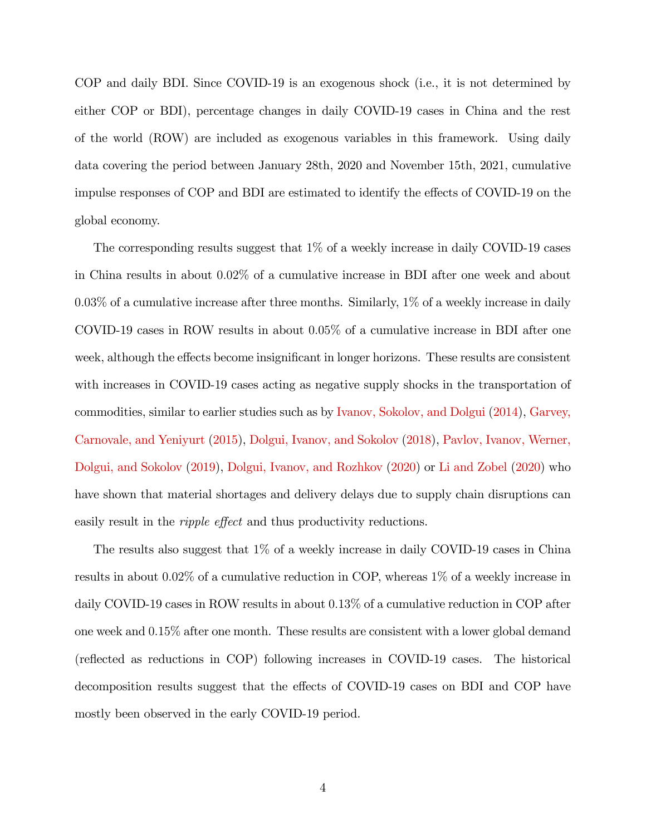COP and daily BDI. Since COVID-19 is an exogenous shock (i.e., it is not determined by either COP or BDI), percentage changes in daily COVID-19 cases in China and the rest of the world (ROW) are included as exogenous variables in this framework. Using daily data covering the period between January 28th, 2020 and November 15th, 2021, cumulative impulse responses of COP and BDI are estimated to identify the effects of COVID-19 on the global economy.

The corresponding results suggest that 1% of a weekly increase in daily COVID-19 cases in China results in about 0:02% of a cumulative increase in BDI after one week and about  $0.03\%$  of a cumulative increase after three months. Similarly,  $1\%$  of a weekly increase in daily COVID-19 cases in ROW results in about 0:05% of a cumulative increase in BDI after one week, although the effects become insignificant in longer horizons. These results are consistent with increases in COVID-19 cases acting as negative supply shocks in the transportation of commodities, similar to earlier studies such as by [Ivanov, Sokolov, and Dolgui](#page-15-2) [\(2014\)](#page-15-2), [Garvey,](#page-14-0) [Carnovale, and Yeniyurt](#page-14-0) [\(2015\)](#page-14-0), [Dolgui, Ivanov, and Sokolov](#page-14-1) [\(2018\)](#page-14-1), [Pavlov, Ivanov, Werner,](#page-16-0) [Dolgui, and Sokolov](#page-16-0) [\(2019\)](#page-16-0), [Dolgui, Ivanov, and Rozhkov](#page-14-2) [\(2020\)](#page-14-2) or [Li and Zobel](#page-15-3) [\(2020\)](#page-15-3) who have shown that material shortages and delivery delays due to supply chain disruptions can easily result in the *ripple effect* and thus productivity reductions.

The results also suggest that 1% of a weekly increase in daily COVID-19 cases in China results in about 0.02% of a cumulative reduction in COP, whereas 1% of a weekly increase in daily COVID-19 cases in ROW results in about  $0.13\%$  of a cumulative reduction in COP after one week and 0:15% after one month. These results are consistent with a lower global demand (reflected as reductions in COP) following increases in COVID-19 cases. The historical decomposition results suggest that the effects of COVID-19 cases on BDI and COP have mostly been observed in the early COVID-19 period.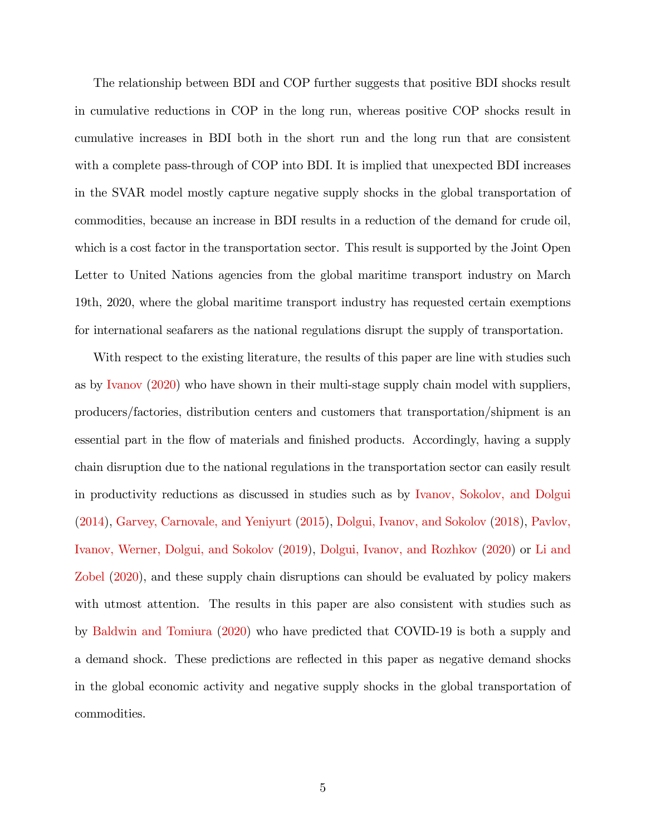The relationship between BDI and COP further suggests that positive BDI shocks result in cumulative reductions in COP in the long run, whereas positive COP shocks result in cumulative increases in BDI both in the short run and the long run that are consistent with a complete pass-through of COP into BDI. It is implied that unexpected BDI increases in the SVAR model mostly capture negative supply shocks in the global transportation of commodities, because an increase in BDI results in a reduction of the demand for crude oil, which is a cost factor in the transportation sector. This result is supported by the Joint Open Letter to United Nations agencies from the global maritime transport industry on March 19th, 2020, where the global maritime transport industry has requested certain exemptions for international seafarers as the national regulations disrupt the supply of transportation.

With respect to the existing literature, the results of this paper are line with studies such as by [Ivanov](#page-15-1) [\(2020\)](#page-15-1) who have shown in their multi-stage supply chain model with suppliers, producers/factories, distribution centers and customers that transportation/shipment is an essential part in the flow of materials and finished products. Accordingly, having a supply chain disruption due to the national regulations in the transportation sector can easily result in productivity reductions as discussed in studies such as by [Ivanov, Sokolov, and Dolgui](#page-15-2) [\(2014\)](#page-15-2), [Garvey, Carnovale, and Yeniyurt](#page-14-0) [\(2015\)](#page-14-0), [Dolgui, Ivanov, and Sokolov](#page-14-1) [\(2018\)](#page-14-1), [Pavlov,](#page-16-0) [Ivanov, Werner, Dolgui, and Sokolov](#page-16-0) [\(2019\)](#page-16-0), [Dolgui, Ivanov, and Rozhkov](#page-14-2) [\(2020\)](#page-14-2) or [Li and](#page-15-3) [Zobel](#page-15-3) [\(2020\)](#page-15-3), and these supply chain disruptions can should be evaluated by policy makers with utmost attention. The results in this paper are also consistent with studies such as by [Baldwin and Tomiura](#page-13-1) [\(2020\)](#page-13-1) who have predicted that COVID-19 is both a supply and a demand shock. These predictions are reflected in this paper as negative demand shocks in the global economic activity and negative supply shocks in the global transportation of commodities.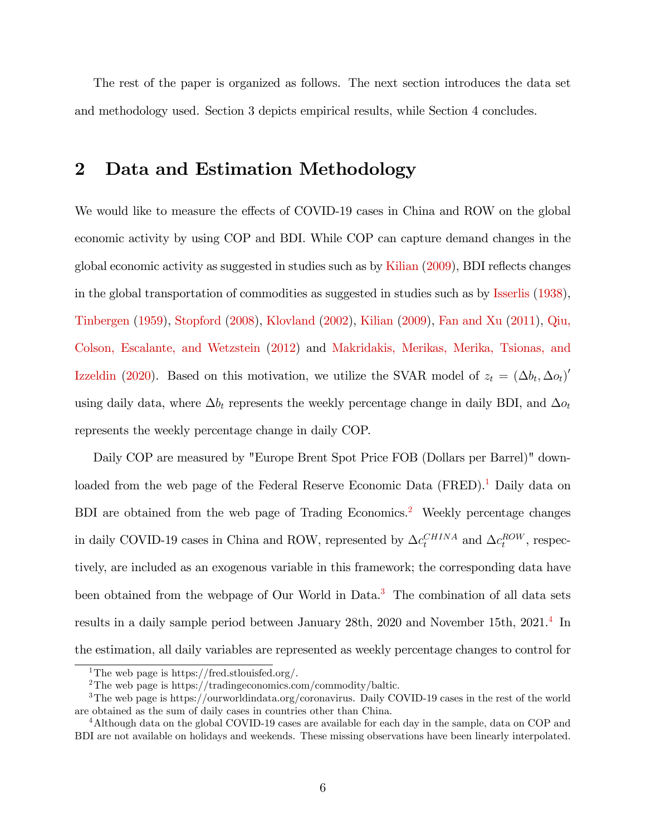The rest of the paper is organized as follows. The next section introduces the data set and methodology used. Section 3 depicts empirical results, while Section 4 concludes.

## 2 Data and Estimation Methodology

We would like to measure the effects of COVID-19 cases in China and ROW on the global economic activity by using COP and BDI. While COP can capture demand changes in the global economic activity as suggested in studies such as by [Kilian](#page-15-5) [\(2009\)](#page-15-5), BDI reflects changes in the global transportation of commodities as suggested in studies such as by [Isserlis](#page-15-7) [\(1938\)](#page-15-7), [Tinbergen](#page-16-1) [\(1959\)](#page-16-1), [Stopford](#page-16-2) [\(2008\)](#page-16-2), [Klovland](#page-15-8) [\(2002\)](#page-15-8), [Kilian](#page-15-5) [\(2009\)](#page-15-5), [Fan and Xu](#page-14-7) [\(2011\)](#page-14-7), [Qiu,](#page-16-3) [Colson, Escalante, and Wetzstein](#page-16-3) [\(2012\)](#page-16-3) and [Makridakis, Merikas, Merika, Tsionas, and](#page-16-4) [Izzeldin](#page-16-4) [\(2020\)](#page-16-4). Based on this motivation, we utilize the SVAR model of  $z_t = (\Delta b_t, \Delta o_t)'$ using daily data, where  $\Delta b_t$  represents the weekly percentage change in daily BDI, and  $\Delta o_t$ represents the weekly percentage change in daily COP.

Daily COP are measured by "Europe Brent Spot Price FOB (Dollars per Barrel)" down-loaded from the web page of the Federal Reserve Economic Data (FRED).<sup>[1](#page-2-0)</sup> Daily data on BDI are obtained from the web page of Trading Economics.<sup>[2](#page-2-0)</sup> Weekly percentage changes in daily COVID-19 cases in China and ROW, represented by  $\Delta c_t^{CHINA}$  and  $\Delta c_t^{ROW}$ , respectively, are included as an exogenous variable in this framework; the corresponding data have been obtained from the webpage of Our World in Data.<sup>[3](#page-2-0)</sup> The combination of all data sets results in a daily sample period between January 28th, 2020 and November 15th, 2021.<sup>[4](#page-2-0)</sup> In the estimation, all daily variables are represented as weekly percentage changes to control for

<sup>&</sup>lt;sup>1</sup>The web page is https://fred.stlouisfed.org/.

<sup>&</sup>lt;sup>2</sup>The web page is https://tradingeconomics.com/commodity/baltic.

<sup>3</sup>The web page is https://ourworldindata.org/coronavirus. Daily COVID-19 cases in the rest of the world are obtained as the sum of daily cases in countries other than China.

<sup>4</sup>Although data on the global COVID-19 cases are available for each day in the sample, data on COP and BDI are not available on holidays and weekends. These missing observations have been linearly interpolated.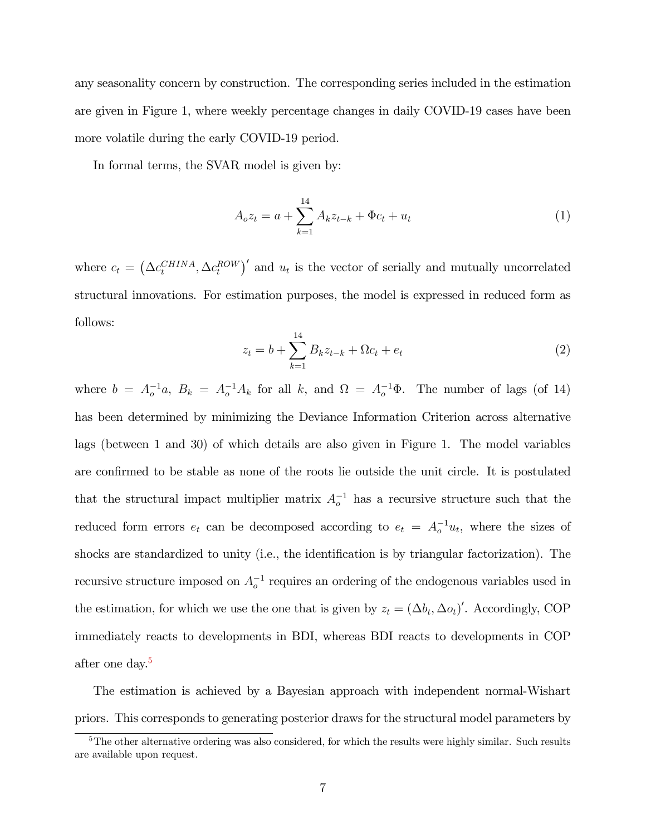any seasonality concern by construction. The corresponding series included in the estimation are given in Figure 1, where weekly percentage changes in daily COVID-19 cases have been more volatile during the early COVID-19 period.

In formal terms, the SVAR model is given by:

$$
A_o z_t = a + \sum_{k=1}^{14} A_k z_{t-k} + \Phi c_t + u_t
$$
\n(1)

where  $c_t = (\Delta c_t^{CHINA}, \Delta c_t^{ROW})'$  and  $u_t$  is the vector of serially and mutually uncorrelated structural innovations. For estimation purposes, the model is expressed in reduced form as follows:

$$
z_t = b + \sum_{k=1}^{14} B_k z_{t-k} + \Omega c_t + e_t \tag{2}
$$

where  $b = A_o^{-1}a$ ,  $B_k = A_o^{-1}A_k$  for all k, and  $\Omega = A_o^{-1}\Phi$ . The number of lags (of 14) has been determined by minimizing the Deviance Information Criterion across alternative lags (between 1 and 30) of which details are also given in Figure 1. The model variables are confirmed to be stable as none of the roots lie outside the unit circle. It is postulated that the structural impact multiplier matrix  $A_{o}^{-1}$  has a recursive structure such that the reduced form errors  $e_t$  can be decomposed according to  $e_t = A_0^{-1}u_t$ , where the sizes of shocks are standardized to unity (i.e., the identification is by triangular factorization). The recursive structure imposed on  $A_o^{-1}$  requires an ordering of the endogenous variables used in the estimation, for which we use the one that is given by  $z_t = (\Delta b_t, \Delta o_t)'$ . Accordingly, COP immediately reacts to developments in BDI, whereas BDI reacts to developments in COP after one day.<sup>[5](#page-2-0)</sup>

The estimation is achieved by a Bayesian approach with independent normal-Wishart priors. This corresponds to generating posterior draws for the structural model parameters by

 $5$ The other alternative ordering was also considered, for which the results were highly similar. Such results are available upon request.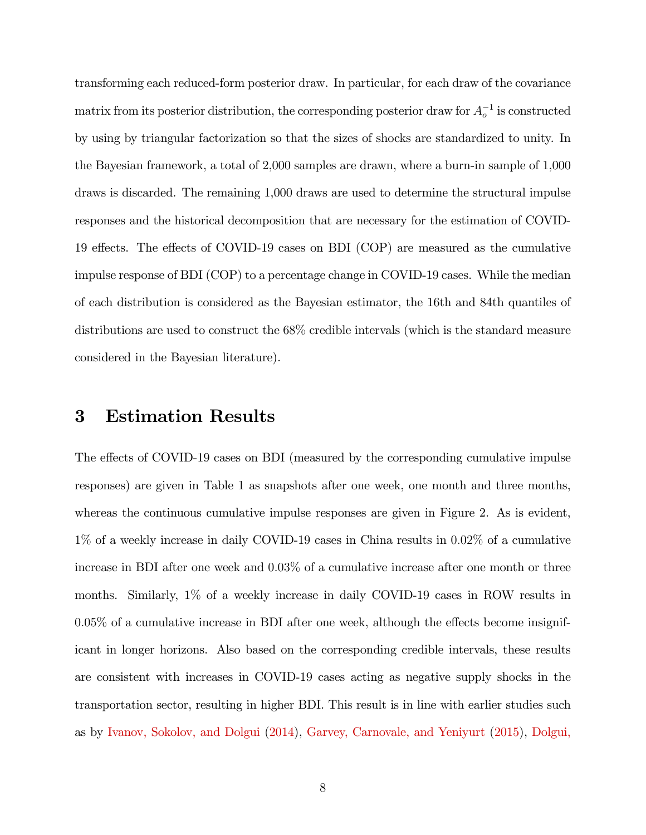transforming each reduced-form posterior draw. In particular, for each draw of the covariance matrix from its posterior distribution, the corresponding posterior draw for  $A_o^{-1}$  is constructed by using by triangular factorization so that the sizes of shocks are standardized to unity. In the Bayesian framework, a total of 2,000 samples are drawn, where a burn-in sample of 1,000 draws is discarded. The remaining 1,000 draws are used to determine the structural impulse responses and the historical decomposition that are necessary for the estimation of COVID-19 effects. The effects of COVID-19 cases on BDI (COP) are measured as the cumulative impulse response of BDI (COP) to a percentage change in COVID-19 cases. While the median of each distribution is considered as the Bayesian estimator, the 16th and 84th quantiles of distributions are used to construct the 68% credible intervals (which is the standard measure considered in the Bayesian literature).

#### 3 Estimation Results

The effects of COVID-19 cases on BDI (measured by the corresponding cumulative impulse responses) are given in Table 1 as snapshots after one week, one month and three months, whereas the continuous cumulative impulse responses are given in Figure 2. As is evident, 1% of a weekly increase in daily COVID-19 cases in China results in 0:02% of a cumulative increase in BDI after one week and 0:03% of a cumulative increase after one month or three months. Similarly, 1% of a weekly increase in daily COVID-19 cases in ROW results in  $0.05\%$  of a cumulative increase in BDI after one week, although the effects become insignificant in longer horizons. Also based on the corresponding credible intervals, these results are consistent with increases in COVID-19 cases acting as negative supply shocks in the transportation sector, resulting in higher BDI. This result is in line with earlier studies such as by [Ivanov, Sokolov, and Dolgui](#page-15-2) [\(2014\)](#page-15-2), [Garvey, Carnovale, and Yeniyurt](#page-14-0) [\(2015\)](#page-14-0), [Dolgui,](#page-14-1)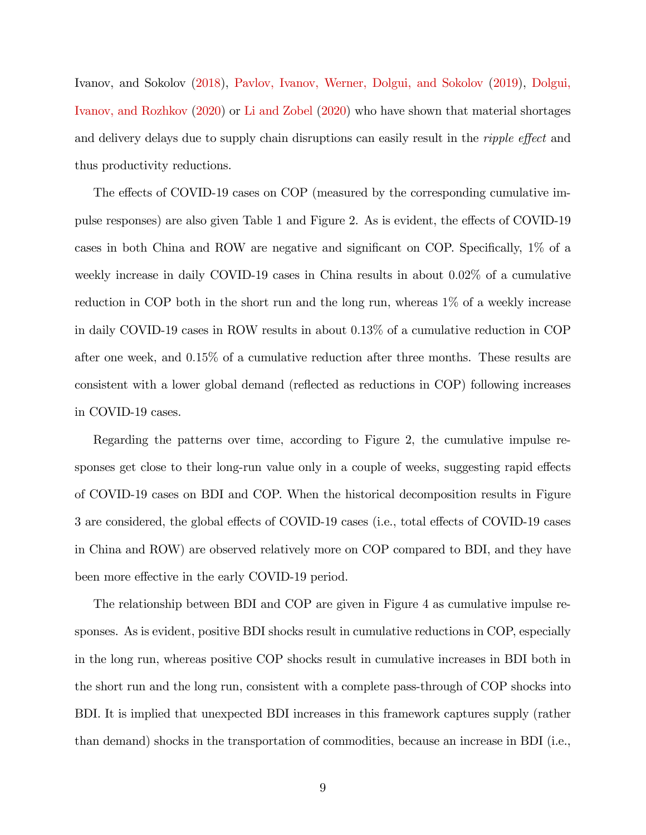[Ivanov, and Sokolov](#page-14-1) [\(2018\)](#page-14-1), [Pavlov, Ivanov, Werner, Dolgui, and Sokolov](#page-16-0) [\(2019\)](#page-16-0), [Dolgui,](#page-14-2) [Ivanov, and Rozhkov](#page-14-2) [\(2020\)](#page-14-2) or [Li and Zobel](#page-15-3) [\(2020\)](#page-15-3) who have shown that material shortages and delivery delays due to supply chain disruptions can easily result in the *ripple effect* and thus productivity reductions.

The effects of COVID-19 cases on COP (measured by the corresponding cumulative impulse responses) are also given Table 1 and Figure 2. As is evident, the effects of COVID-19 cases in both China and ROW are negative and significant on COP. Specifically,  $1\%$  of a weekly increase in daily COVID-19 cases in China results in about 0.02\% of a cumulative reduction in COP both in the short run and the long run, whereas 1% of a weekly increase in daily COVID-19 cases in ROW results in about 0.13% of a cumulative reduction in COP after one week, and 0:15% of a cumulative reduction after three months. These results are consistent with a lower global demand (reflected as reductions in COP) following increases in COVID-19 cases.

Regarding the patterns over time, according to Figure 2, the cumulative impulse responses get close to their long-run value only in a couple of weeks, suggesting rapid effects of COVID-19 cases on BDI and COP. When the historical decomposition results in Figure 3 are considered, the global effects of COVID-19 cases (i.e., total effects of COVID-19 cases in China and ROW) are observed relatively more on COP compared to BDI, and they have been more effective in the early COVID-19 period.

The relationship between BDI and COP are given in Figure 4 as cumulative impulse responses. As is evident, positive BDI shocks result in cumulative reductions in COP, especially in the long run, whereas positive COP shocks result in cumulative increases in BDI both in the short run and the long run, consistent with a complete pass-through of COP shocks into BDI. It is implied that unexpected BDI increases in this framework captures supply (rather than demand) shocks in the transportation of commodities, because an increase in BDI (i.e.,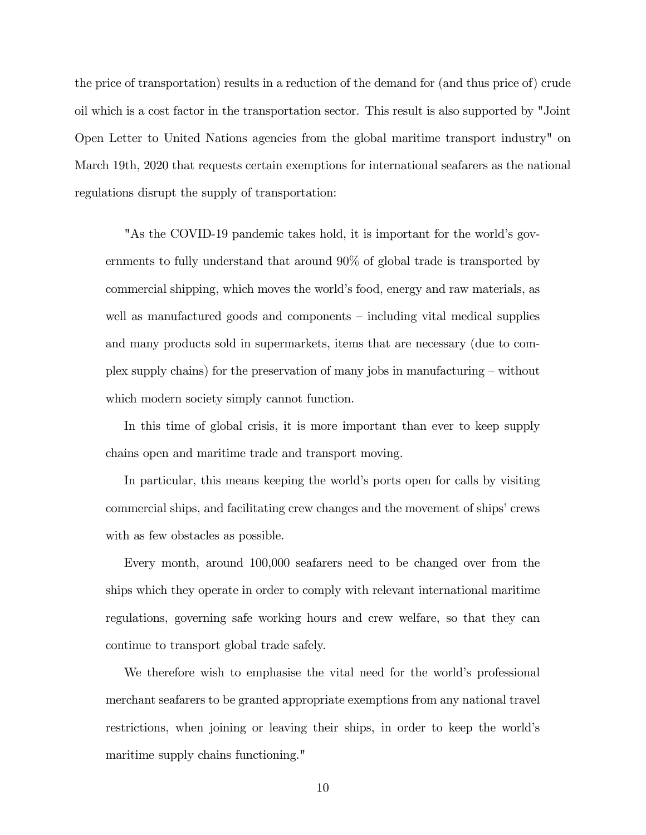the price of transportation) results in a reduction of the demand for (and thus price of) crude oil which is a cost factor in the transportation sector. This result is also supported by "Joint Open Letter to United Nations agencies from the global maritime transport industry" on March 19th, 2020 that requests certain exemptions for international seafarers as the national regulations disrupt the supply of transportation:

"As the COVID-19 pandemic takes hold, it is important for the world's governments to fully understand that around 90% of global trade is transported by commercial shipping, which moves the world's food, energy and raw materials, as well as manufactured goods and components  $\overline{\phantom{a}}$ -including vital medical supplies and many products sold in supermarkets, items that are necessary (due to complex supply chains) for the preservation of many jobs in manufacturing  $-\text{without}$ which modern society simply cannot function.

In this time of global crisis, it is more important than ever to keep supply chains open and maritime trade and transport moving.

In particular, this means keeping the world's ports open for calls by visiting commercial ships, and facilitating crew changes and the movement of ships' crews with as few obstacles as possible.

Every month, around 100,000 seafarers need to be changed over from the ships which they operate in order to comply with relevant international maritime regulations, governing safe working hours and crew welfare, so that they can continue to transport global trade safely.

We therefore wish to emphasise the vital need for the world's professional merchant seafarers to be granted appropriate exemptions from any national travel restrictions, when joining or leaving their ships, in order to keep the world's maritime supply chains functioning."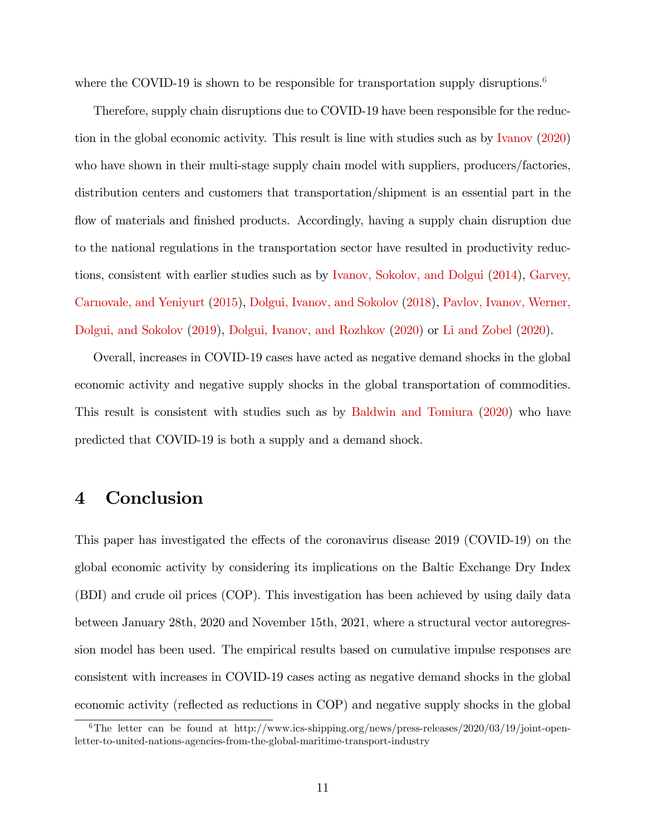where the COVID-19 is shown to be responsible for transportation supply disruptions.<sup>[6](#page-2-0)</sup>

Therefore, supply chain disruptions due to COVID-19 have been responsible for the reduction in the global economic activity. This result is line with studies such as by [Ivanov](#page-15-1) [\(2020\)](#page-15-1) who have shown in their multi-stage supply chain model with suppliers, producers/factories, distribution centers and customers that transportation/shipment is an essential part in the flow of materials and finished products. Accordingly, having a supply chain disruption due to the national regulations in the transportation sector have resulted in productivity reductions, consistent with earlier studies such as by [Ivanov, Sokolov, and Dolgui](#page-15-2) [\(2014\)](#page-15-2), [Garvey,](#page-14-0) [Carnovale, and Yeniyurt](#page-14-0) [\(2015\)](#page-14-0), [Dolgui, Ivanov, and Sokolov](#page-14-1) [\(2018\)](#page-14-1), [Pavlov, Ivanov, Werner,](#page-16-0) [Dolgui, and Sokolov](#page-16-0) [\(2019\)](#page-16-0), [Dolgui, Ivanov, and Rozhkov](#page-14-2) [\(2020\)](#page-14-2) or [Li and Zobel](#page-15-3) [\(2020\)](#page-15-3).

Overall, increases in COVID-19 cases have acted as negative demand shocks in the global economic activity and negative supply shocks in the global transportation of commodities. This result is consistent with studies such as by [Baldwin and Tomiura](#page-13-1) [\(2020\)](#page-13-1) who have predicted that COVID-19 is both a supply and a demand shock.

### 4 Conclusion

This paper has investigated the effects of the coronavirus disease  $2019$  (COVID-19) on the global economic activity by considering its implications on the Baltic Exchange Dry Index (BDI) and crude oil prices (COP). This investigation has been achieved by using daily data between January 28th, 2020 and November 15th, 2021, where a structural vector autoregression model has been used. The empirical results based on cumulative impulse responses are consistent with increases in COVID-19 cases acting as negative demand shocks in the global economic activity (reflected as reductions in COP) and negative supply shocks in the global

<sup>6</sup>The letter can be found at http://www.ics-shipping.org/news/press-releases/2020/03/19/joint-openletter-to-united-nations-agencies-from-the-global-maritime-transport-industry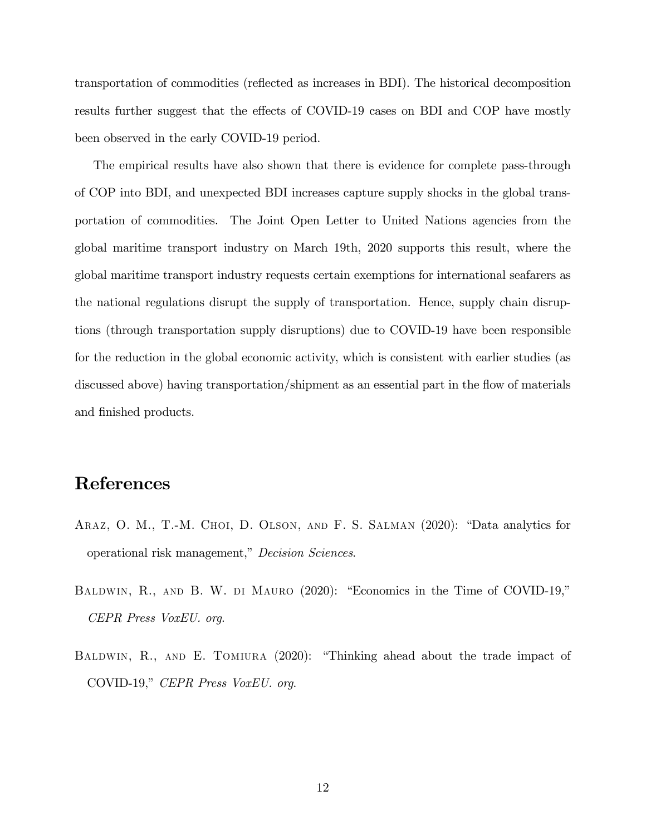transportation of commodities (reáected as increases in BDI). The historical decomposition results further suggest that the effects of COVID-19 cases on BDI and COP have mostly been observed in the early COVID-19 period.

The empirical results have also shown that there is evidence for complete pass-through of COP into BDI, and unexpected BDI increases capture supply shocks in the global transportation of commodities. The Joint Open Letter to United Nations agencies from the global maritime transport industry on March 19th, 2020 supports this result, where the global maritime transport industry requests certain exemptions for international seafarers as the national regulations disrupt the supply of transportation. Hence, supply chain disruptions (through transportation supply disruptions) due to COVID-19 have been responsible for the reduction in the global economic activity, which is consistent with earlier studies (as discussed above) having transportation/shipment as an essential part in the flow of materials and finished products.

## References

- <span id="page-13-2"></span>ARAZ, O. M., T.-M. CHOI, D. OLSON, AND F. S. SALMAN  $(2020)$ : "Data analytics for operational risk management," Decision Sciences.
- <span id="page-13-0"></span>BALDWIN, R., AND B. W. DI MAURO (2020): "Economics in the Time of COVID-19," CEPR Press VoxEU. org.
- <span id="page-13-1"></span>BALDWIN, R., AND E. TOMIURA  $(2020)$ : "Thinking ahead about the trade impact of COVID-19," CEPR Press VoxEU. org.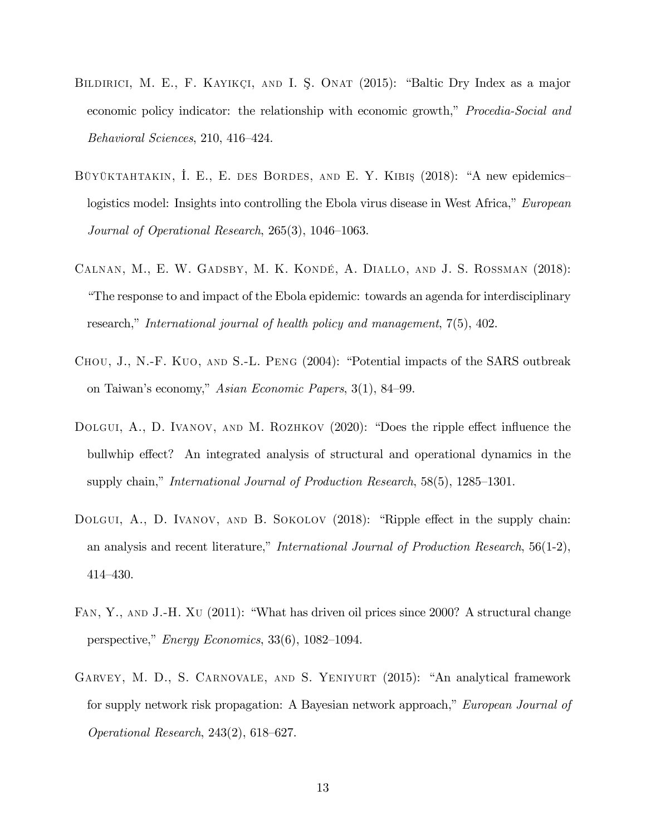- <span id="page-14-6"></span>BILDIRICI, M. E., F. KAYIKÇI, AND I. Ş. ONAT (2015): "Baltic Dry Index as a major economic policy indicator: the relationship with economic growth," *Procedia-Social and*  $Behavioral$  Sciences, 210, 416–424.
- <span id="page-14-5"></span>BÜYÜKTAHTAKIN, I. E., E. DES BORDES, AND E. Y. KIBIŞ (2018): "A new epidemicslogistics model: Insights into controlling the Ebola virus disease in West Africa," European Journal of Operational Research,  $265(3)$ ,  $1046-1063$ .
- <span id="page-14-4"></span>Calnan, M., E. W. Gadsby, M. K. KondÈ, A. Diallo, and J. S. Rossman (2018): ìThe response to and impact of the Ebola epidemic: towards an agenda for interdisciplinary research," International journal of health policy and management,  $7(5)$ ,  $402$ .
- <span id="page-14-3"></span>CHOU, J., N.-F. KUO, AND S.-L. PENG (2004): "Potential impacts of the SARS outbreak on Taiwan's economy," Asian Economic Papers, 3(1), 84–99.
- <span id="page-14-2"></span>DOLGUI, A., D. IVANOV, AND M. ROZHKOV  $(2020)$ : "Does the ripple effect influence the bullwhip effect? An integrated analysis of structural and operational dynamics in the supply chain," International Journal of Production Research,  $58(5)$ ,  $1285-1301$ .
- <span id="page-14-1"></span>DOLGUI, A., D. IVANOV, AND B. SOKOLOV  $(2018)$ : "Ripple effect in the supply chain: an analysis and recent literature," International Journal of Production Research,  $56(1-2)$ ,  $414 - 430.$
- <span id="page-14-7"></span>FAN, Y., AND J.-H. XU (2011): "What has driven oil prices since 2000? A structural change perspective," *Energy Economics*,  $33(6)$ ,  $1082-1094$ .
- <span id="page-14-0"></span>GARVEY, M. D., S. CARNOVALE, AND S. YENIYURT (2015): "An analytical framework for supply network risk propagation: A Bayesian network approach," European Journal of Operational Research,  $243(2)$ ,  $618–627$ .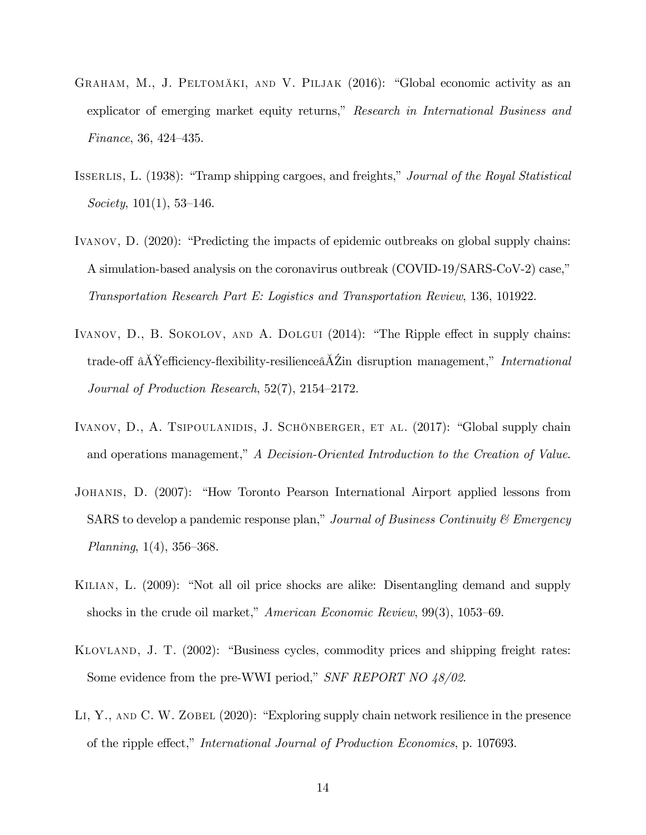- <span id="page-15-6"></span>GRAHAM, M., J. PELTOMÄKI, AND V. PILJAK (2016): "Global economic activity as an explicator of emerging market equity returns," Research in International Business and Finance, 36, 424–435.
- <span id="page-15-7"></span>ISSERLIS, L. (1938): "Tramp shipping cargoes, and freights," Journal of the Royal Statistical Society,  $101(1)$ , 53-146.
- <span id="page-15-1"></span>IVANOV,  $D.$   $(2020)$ : "Predicting the impacts of epidemic outbreaks on global supply chains: A simulation-based analysis on the coronavirus outbreak (COVID-19/SARS-CoV-2) case," Transportation Research Part E: Logistics and Transportation Review, 136, 101922.
- <span id="page-15-2"></span>IVANOV, D., B. SOKOLOV, AND A. DOLGUI  $(2014)$ : "The Ripple effect in supply chains: trade-off  $\hat{A} \check{Y}$ efficiency-flexibility-resilience $\hat{A} \check{Z}$ in disruption management," International Journal of Production Research,  $52(7)$ ,  $2154-2172$ .
- <span id="page-15-0"></span>IVANOV, D., A. TSIPOULANIDIS, J. SCHÖNBERGER, ET AL. (2017): "Global supply chain and operations management," A Decision-Oriented Introduction to the Creation of Value.
- <span id="page-15-4"></span>JOHANIS, D. (2007): "How Toronto Pearson International Airport applied lessons from SARS to develop a pandemic response plan," Journal of Business Continuity  $\mathcal C$  Emergency Planning,  $1(4)$ ,  $356-368$ .
- <span id="page-15-5"></span>KILIAN, L. (2009): "Not all oil price shocks are alike: Disentangling demand and supply shocks in the crude oil market," American Economic Review,  $99(3)$ , 1053–69.
- <span id="page-15-8"></span>KLOVLAND, J. T. (2002): "Business cycles, commodity prices and shipping freight rates: Some evidence from the pre-WWI period," SNF REPORT NO  $48/02$ .
- <span id="page-15-3"></span>LI, Y., AND C. W. ZOBEL  $(2020)$ : "Exploring supply chain network resilience in the presence of the ripple effect," International Journal of Production Economics, p. 107693.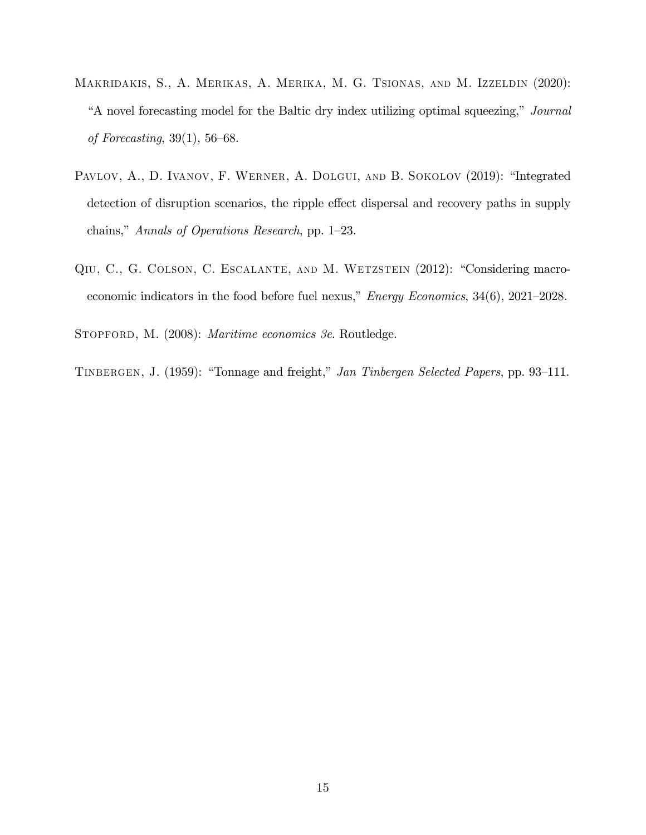- <span id="page-16-4"></span>Makridakis, S., A. Merikas, A. Merika, M. G. Tsionas, and M. Izzeldin (2020): "A novel forecasting model for the Baltic dry index utilizing optimal squeezing," Journal of Forecasting,  $39(1)$ ,  $56-68$ .
- <span id="page-16-0"></span>PAVLOV, A., D. IVANOV, F. WERNER, A. DOLGUI, AND B. SOKOLOV (2019): "Integrated detection of disruption scenarios, the ripple effect dispersal and recovery paths in supply chains," Annals of Operations Research, pp. 1–23.
- <span id="page-16-3"></span>QIU, C., G. COLSON, C. ESCALANTE, AND M. WETZSTEIN (2012): "Considering macroeconomic indicators in the food before fuel nexus,"  $Energy Economics$ ,  $34(6)$ ,  $2021-2028$ .

<span id="page-16-2"></span>STOPFORD, M. (2008): *Maritime economics 3e*. Routledge.

<span id="page-16-1"></span>TINBERGEN, J. (1959): "Tonnage and freight," Jan Tinbergen Selected Papers, pp. 93-111.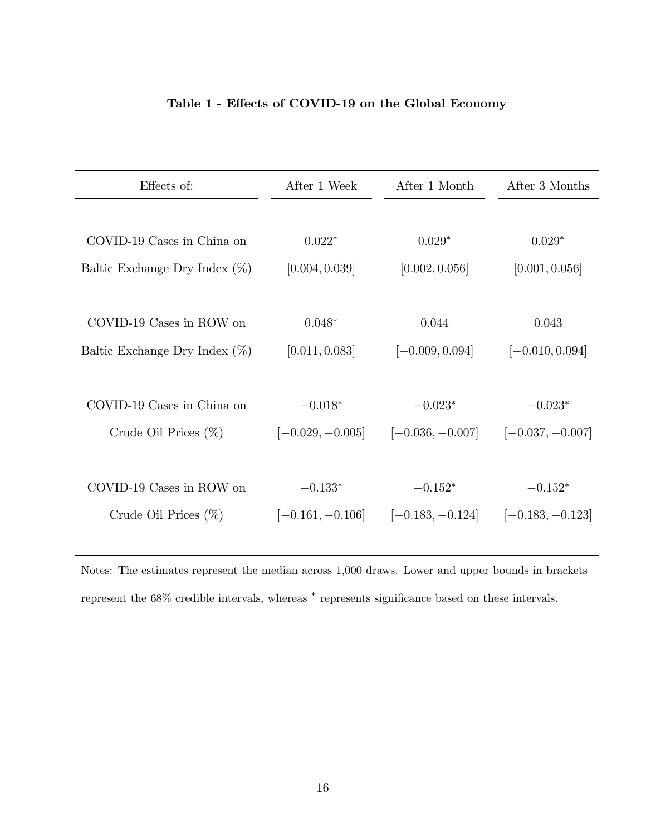#### Table 1 - Effects of COVID-19 on the Global Economy

| Effects of:                      | After 1 Week       | After 1 Month      | After 3 Months     |
|----------------------------------|--------------------|--------------------|--------------------|
|                                  |                    |                    |                    |
| COVID-19 Cases in China on       | $0.022*$           | $0.029*$           | $0.029*$           |
| Baltic Exchange Dry Index $(\%)$ | [0.004, 0.039]     | [0.002, 0.056]     | [0.001, 0.056]     |
|                                  |                    |                    |                    |
| COVID-19 Cases in ROW on         | $0.048*$           | 0.044              | 0.043              |
| Baltic Exchange Dry Index $(\%)$ | [0.011, 0.083]     | $[-0.009, 0.094]$  | $[-0.010, 0.094]$  |
|                                  |                    |                    |                    |
| COVID-19 Cases in China on       | $-0.018*$          | $-0.023*$          | $-0.023*$          |
| Crude Oil Prices $(\%)$          | $[-0.029, -0.005]$ | $[-0.036, -0.007]$ | $[-0.037, -0.007]$ |
|                                  |                    |                    |                    |
|                                  |                    |                    |                    |
| COVID-19 Cases in ROW on         | $-0.133*$          | $-0.152*$          | $-0.152*$          |
| Crude Oil Prices $(\%)$          | $[-0.161, -0.106]$ | $[-0.183, -0.124]$ | $[-0.183, -0.123]$ |
|                                  |                    |                    |                    |

Notes: The estimates represent the median across 1,000 draws. Lower and upper bounds in brackets represent the 68% credible intervals, whereas  $*$  represents significance based on these intervals.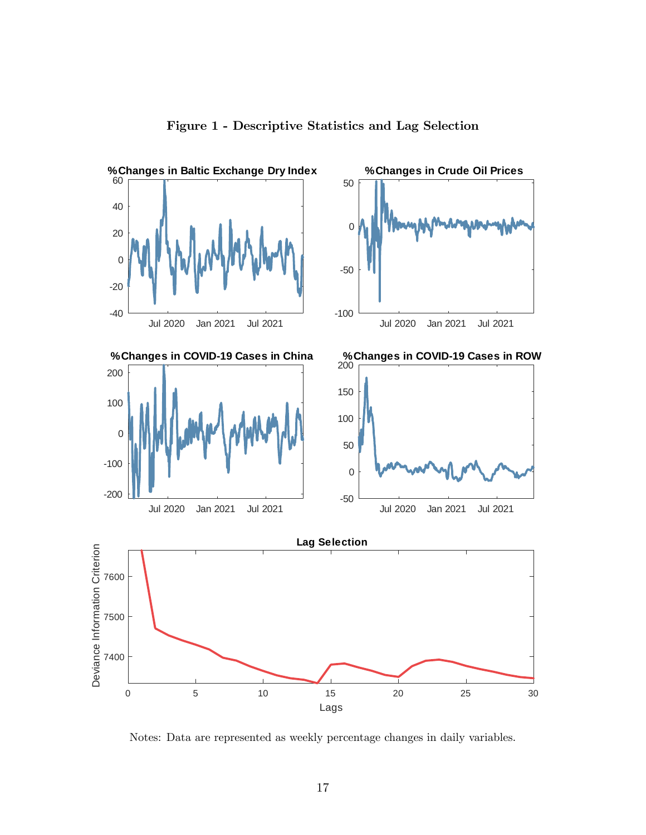

Figure 1 - Descriptive Statistics and Lag Selection

Notes: Data are represented as weekly percentage changes in daily variables.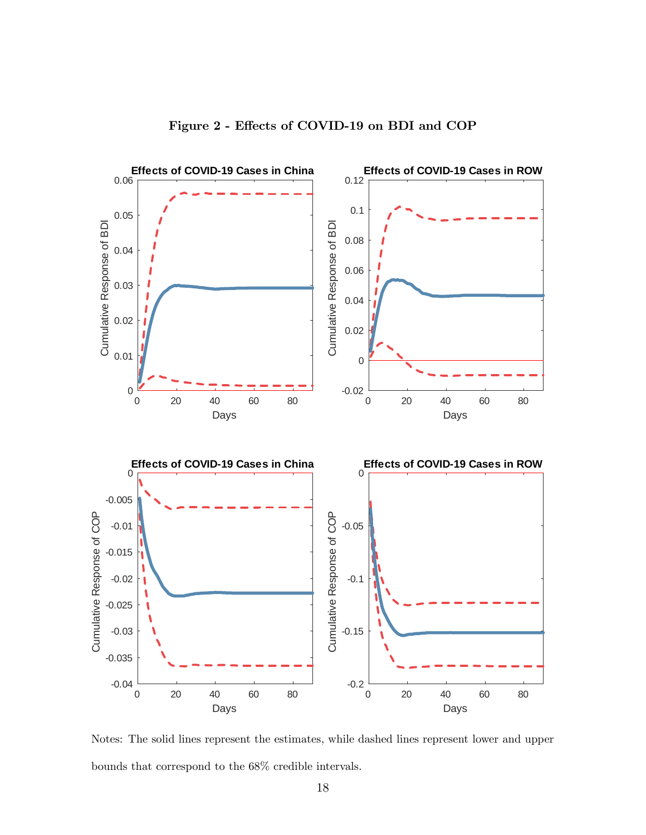

Notes: The solid lines represent the estimates, while dashed lines represent lower and upper bounds that correspond to the 68% credible intervals.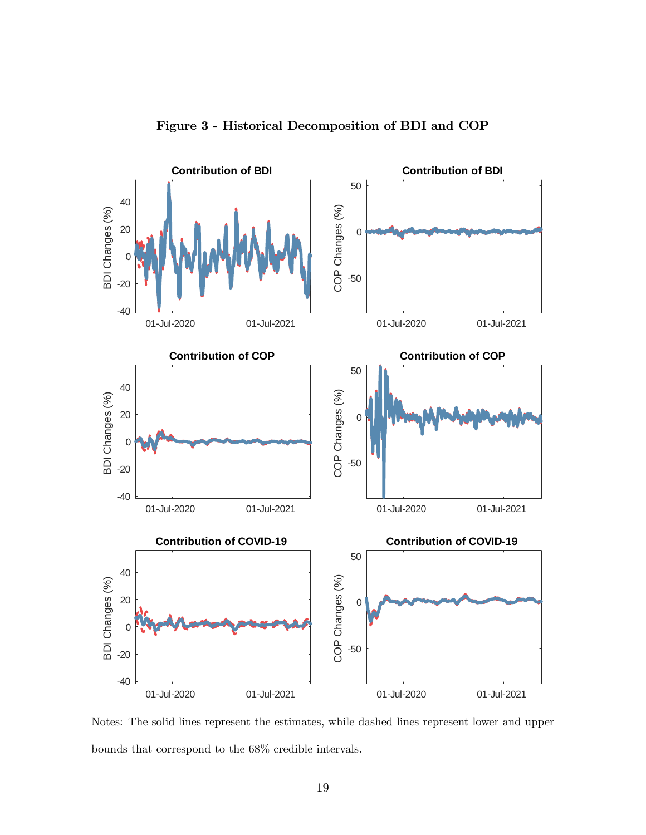

Figure 3 - Historical Decomposition of BDI and COP

Notes: The solid lines represent the estimates, while dashed lines represent lower and upper bounds that correspond to the 68% credible intervals.